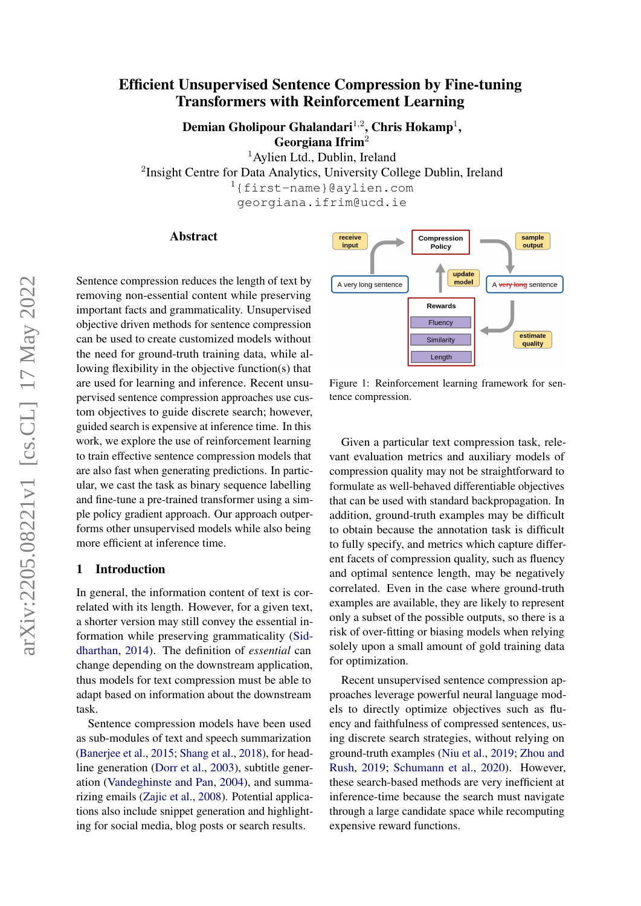# Efficient Unsupervised Sentence Compression by Fine-tuning Transformers with Reinforcement Learning

Demian Gholipour Ghalandari $^{1,2}$ , Chris Hokamp $^{1},$ 

Georgiana Ifrim<sup>2</sup>

<sup>1</sup> Aylien Ltd., Dublin, Ireland

<sup>2</sup>Insight Centre for Data Analytics, University College Dublin, Ireland

<sup>1</sup>{first-name}@aylien.com

georgiana.ifrim@ucd.ie

## Abstract

Sentence compression reduces the length of text by removing non-essential content while preserving important facts and grammaticality. Unsupervised objective driven methods for sentence compression can be used to create customized models without the need for ground-truth training data, while allowing flexibility in the objective function(s) that are used for learning and inference. Recent unsupervised sentence compression approaches use custom objectives to guide discrete search; however, guided search is expensive at inference time. In this work, we explore the use of reinforcement learning to train effective sentence compression models that are also fast when generating predictions. In particular, we cast the task as binary sequence labelling and fine-tune a pre-trained transformer using a simple policy gradient approach. Our approach outperforms other unsupervised models while also being more efficient at inference time.

## 1 Introduction

In general, the information content of text is correlated with its length. However, for a given text, a shorter version may still convey the essential information while preserving grammaticality [\(Sid](#page-10-0)[dharthan,](#page-10-0) [2014\)](#page-10-0). The definition of *essential* can change depending on the downstream application, thus models for text compression must be able to adapt based on information about the downstream task.

Sentence compression models have been used as sub-modules of text and speech summarization [\(Banerjee et al.,](#page-9-0) [2015;](#page-9-0) [Shang et al.,](#page-10-1) [2018\)](#page-10-1), for headline generation [\(Dorr et al.,](#page-9-1) [2003\)](#page-9-1), subtitle generation [\(Vandeghinste and Pan,](#page-10-2) [2004\)](#page-10-2), and summarizing emails [\(Zajic et al.,](#page-10-3) [2008\)](#page-10-3). Potential applications also include snippet generation and highlighting for social media, blog posts or search results.



Figure 1: Reinforcement learning framework for sentence compression.

Given a particular text compression task, relevant evaluation metrics and auxiliary models of compression quality may not be straightforward to formulate as well-behaved differentiable objectives that can be used with standard backpropagation. In addition, ground-truth examples may be difficult to obtain because the annotation task is difficult to fully specify, and metrics which capture different facets of compression quality, such as fluency and optimal sentence length, may be negatively correlated. Even in the case where ground-truth examples are available, they are likely to represent only a subset of the possible outputs, so there is a risk of over-fitting or biasing models when relying solely upon a small amount of gold training data for optimization.

Recent unsupervised sentence compression approaches leverage powerful neural language models to directly optimize objectives such as fluency and faithfulness of compressed sentences, using discrete search strategies, without relying on ground-truth examples [\(Niu et al.,](#page-10-4) [2019;](#page-10-4) [Zhou and](#page-11-0) [Rush,](#page-11-0) [2019;](#page-11-0) [Schumann et al.,](#page-10-5) [2020\)](#page-10-5). However, these search-based methods are very inefficient at inference-time because the search must navigate through a large candidate space while recomputing expensive reward functions.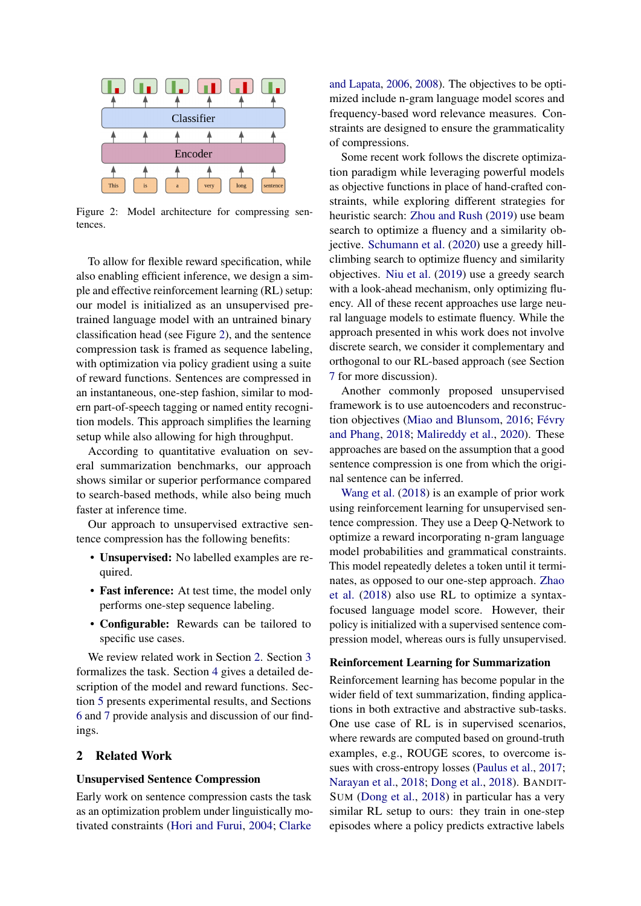<span id="page-1-0"></span>

Figure 2: Model architecture for compressing sentences.

To allow for flexible reward specification, while also enabling efficient inference, we design a simple and effective reinforcement learning (RL) setup: our model is initialized as an unsupervised pretrained language model with an untrained binary classification head (see Figure [2\)](#page-1-0), and the sentence compression task is framed as sequence labeling, with optimization via policy gradient using a suite of reward functions. Sentences are compressed in an instantaneous, one-step fashion, similar to modern part-of-speech tagging or named entity recognition models. This approach simplifies the learning setup while also allowing for high throughput.

According to quantitative evaluation on several summarization benchmarks, our approach shows similar or superior performance compared to search-based methods, while also being much faster at inference time.

Our approach to unsupervised extractive sentence compression has the following benefits:

- Unsupervised: No labelled examples are required.
- Fast inference: At test time, the model only performs one-step sequence labeling.
- Configurable: Rewards can be tailored to specific use cases.

We review related work in Section [2.](#page-1-1) Section [3](#page-2-0) formalizes the task. Section [4](#page-2-1) gives a detailed description of the model and reward functions. Section [5](#page-4-0) presents experimental results, and Sections [6](#page-7-0) and [7](#page-8-0) provide analysis and discussion of our findings.

## <span id="page-1-1"></span>2 Related Work

#### Unsupervised Sentence Compression

Early work on sentence compression casts the task as an optimization problem under linguistically motivated constraints [\(Hori and Furui,](#page-9-2) [2004;](#page-9-2) [Clarke](#page-9-3)

[and Lapata,](#page-9-3) [2006,](#page-9-3) [2008\)](#page-9-4). The objectives to be optimized include n-gram language model scores and frequency-based word relevance measures. Constraints are designed to ensure the grammaticality of compressions.

Some recent work follows the discrete optimization paradigm while leveraging powerful models as objective functions in place of hand-crafted constraints, while exploring different strategies for heuristic search: [Zhou and Rush](#page-11-0) [\(2019\)](#page-11-0) use beam search to optimize a fluency and a similarity objective. [Schumann et al.](#page-10-5) [\(2020\)](#page-10-5) use a greedy hillclimbing search to optimize fluency and similarity objectives. [Niu et al.](#page-10-4) [\(2019\)](#page-10-4) use a greedy search with a look-ahead mechanism, only optimizing fluency. All of these recent approaches use large neural language models to estimate fluency. While the approach presented in whis work does not involve discrete search, we consider it complementary and orthogonal to our RL-based approach (see Section [7](#page-8-0) for more discussion).

Another commonly proposed unsupervised framework is to use autoencoders and reconstruction objectives [\(Miao and Blunsom,](#page-9-5) [2016;](#page-9-5) [Févry](#page-9-6) [and Phang,](#page-9-6) [2018;](#page-9-6) [Malireddy et al.,](#page-9-7) [2020\)](#page-9-7). These approaches are based on the assumption that a good sentence compression is one from which the original sentence can be inferred.

[Wang et al.](#page-10-6) [\(2018\)](#page-10-6) is an example of prior work using reinforcement learning for unsupervised sentence compression. They use a Deep Q-Network to optimize a reward incorporating n-gram language model probabilities and grammatical constraints. This model repeatedly deletes a token until it terminates, as opposed to our one-step approach. [Zhao](#page-11-1) [et al.](#page-11-1) [\(2018\)](#page-11-1) also use RL to optimize a syntaxfocused language model score. However, their policy is initialized with a supervised sentence compression model, whereas ours is fully unsupervised.

### Reinforcement Learning for Summarization

Reinforcement learning has become popular in the wider field of text summarization, finding applications in both extractive and abstractive sub-tasks. One use case of RL is in supervised scenarios, where rewards are computed based on ground-truth examples, e.g., ROUGE scores, to overcome issues with cross-entropy losses [\(Paulus et al.,](#page-10-7) [2017;](#page-10-7) [Narayan et al.,](#page-10-8) [2018;](#page-10-8) [Dong et al.,](#page-9-8) [2018\)](#page-9-8). BANDIT-SUM [\(Dong et al.,](#page-9-8) [2018\)](#page-9-8) in particular has a very similar RL setup to ours: they train in one-step episodes where a policy predicts extractive labels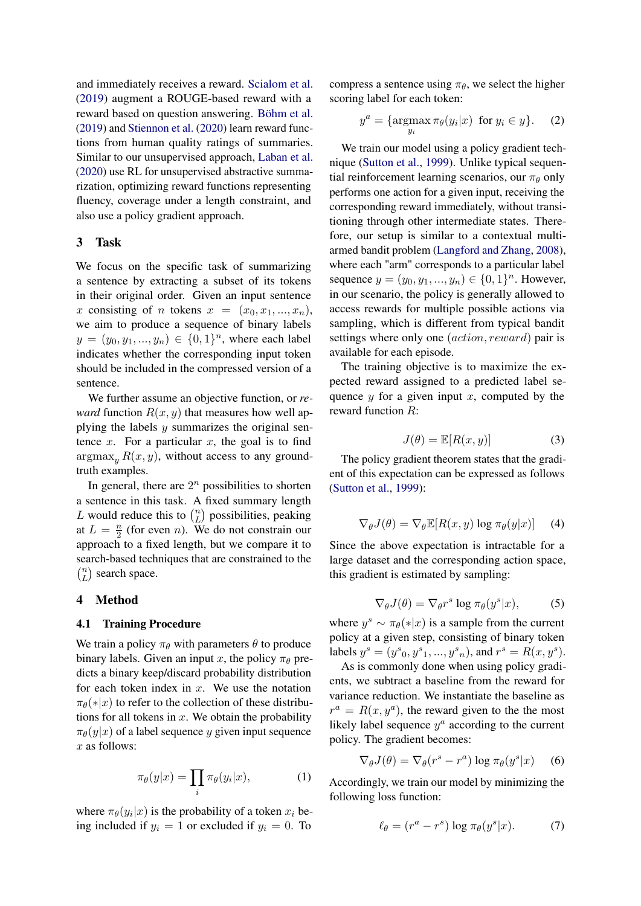and immediately receives a reward. [Scialom et al.](#page-10-9) [\(2019\)](#page-10-9) augment a ROUGE-based reward with a reward based on question answering. [Böhm et al.](#page-9-9) [\(2019\)](#page-9-9) and [Stiennon et al.](#page-10-10) [\(2020\)](#page-10-10) learn reward functions from human quality ratings of summaries. Similar to our unsupervised approach, [Laban et al.](#page-9-10) [\(2020\)](#page-9-10) use RL for unsupervised abstractive summarization, optimizing reward functions representing fluency, coverage under a length constraint, and also use a policy gradient approach.

## <span id="page-2-0"></span>3 Task

We focus on the specific task of summarizing a sentence by extracting a subset of its tokens in their original order. Given an input sentence x consisting of n tokens  $x = (x_0, x_1, ..., x_n)$ , we aim to produce a sequence of binary labels  $y = (y_0, y_1, ..., y_n) \in \{0, 1\}^n$ , where each label indicates whether the corresponding input token should be included in the compressed version of a sentence.

We further assume an objective function, or *reward* function  $R(x, y)$  that measures how well applying the labels  $y$  summarizes the original sentence  $x$ . For a particular  $x$ , the goal is to find  $\argmax_{y} R(x, y)$ , without access to any groundtruth examples.

In general, there are  $2^n$  possibilities to shorten a sentence in this task. A fixed summary length L would reduce this to  $\binom{n}{L}$  $L \choose L$  possibilities, peaking at  $L = \frac{n}{2}$  $\frac{n}{2}$  (for even *n*). We do not constrain our approach to a fixed length, but we compare it to search-based techniques that are constrained to the  $\binom{n}{r}$  $L \choose L$  search space.

#### <span id="page-2-1"></span>4 Method

### 4.1 Training Procedure

We train a policy  $\pi_{\theta}$  with parameters  $\theta$  to produce binary labels. Given an input x, the policy  $\pi_{\theta}$  predicts a binary keep/discard probability distribution for each token index in  $x$ . We use the notation  $\pi_{\theta}(*|x)$  to refer to the collection of these distributions for all tokens in  $x$ . We obtain the probability  $\pi_{\theta}(y|x)$  of a label sequence y given input sequence x as follows:

$$
\pi_{\theta}(y|x) = \prod_{i} \pi_{\theta}(y_i|x), \tag{1}
$$

where  $\pi_{\theta}(y_i|x)$  is the probability of a token  $x_i$  being included if  $y_i = 1$  or excluded if  $y_i = 0$ . To compress a sentence using  $\pi_{\theta}$ , we select the higher scoring label for each token:

$$
y^{a} = \{ \operatorname*{argmax}_{y_{i}} \pi_{\theta}(y_{i}|x) \text{ for } y_{i} \in y \}. \tag{2}
$$

We train our model using a policy gradient technique [\(Sutton et al.,](#page-10-11) [1999\)](#page-10-11). Unlike typical sequential reinforcement learning scenarios, our  $\pi_{\theta}$  only performs one action for a given input, receiving the corresponding reward immediately, without transitioning through other intermediate states. Therefore, our setup is similar to a contextual multiarmed bandit problem [\(Langford and Zhang,](#page-9-11) [2008\)](#page-9-11), where each "arm" corresponds to a particular label sequence  $y = (y_0, y_1, ..., y_n) \in \{0, 1\}^n$ . However, in our scenario, the policy is generally allowed to access rewards for multiple possible actions via sampling, which is different from typical bandit settings where only one (action, reward) pair is available for each episode.

The training objective is to maximize the expected reward assigned to a predicted label sequence  $y$  for a given input  $x$ , computed by the reward function R:

$$
J(\theta) = \mathbb{E}[R(x, y)] \tag{3}
$$

The policy gradient theorem states that the gradient of this expectation can be expressed as follows [\(Sutton et al.,](#page-10-11) [1999\)](#page-10-11):

$$
\nabla_{\theta} J(\theta) = \nabla_{\theta} \mathbb{E}[R(x, y) \log \pi_{\theta}(y|x)] \quad (4)
$$

Since the above expectation is intractable for a large dataset and the corresponding action space, this gradient is estimated by sampling:

$$
\nabla_{\theta} J(\theta) = \nabla_{\theta} r^s \log \pi_{\theta}(y^s | x), \tag{5}
$$

where  $y^s \sim \pi_\theta(*|x)$  is a sample from the current policy at a given step, consisting of binary token labels  $y^s = (y^s_0, y^s_1, ..., y^s_n)$ , and  $r^s = R(x, y^s)$ .

As is commonly done when using policy gradients, we subtract a baseline from the reward for variance reduction. We instantiate the baseline as  $r^a = R(x, y^a)$ , the reward given to the the most likely label sequence  $y^a$  according to the current policy. The gradient becomes:

$$
\nabla_{\theta} J(\theta) = \nabla_{\theta} (r^s - r^a) \log \pi_{\theta} (y^s | x)
$$
 (6)

Accordingly, we train our model by minimizing the following loss function:

$$
\ell_{\theta} = (r^a - r^s) \log \pi_{\theta}(y^s | x). \tag{7}
$$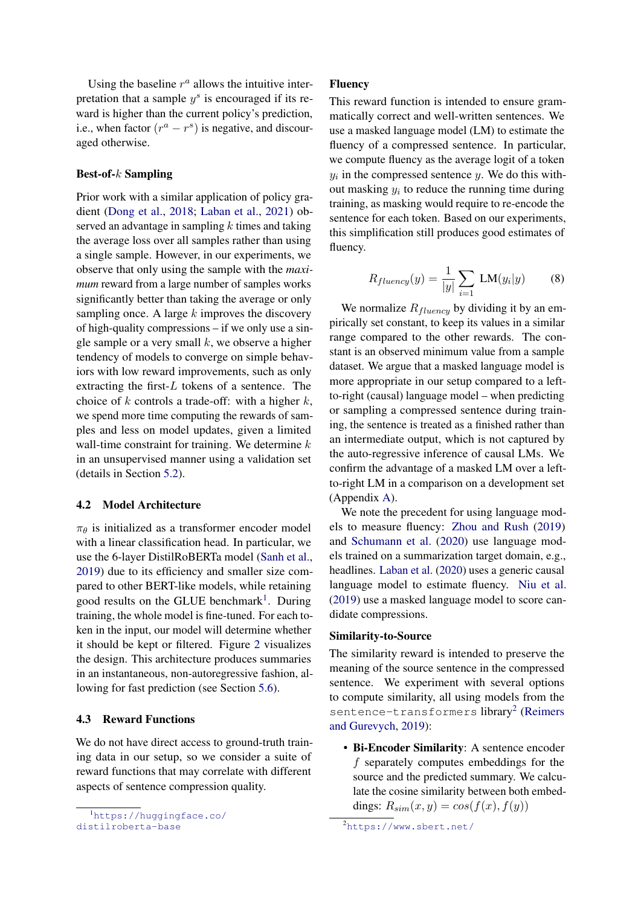Using the baseline  $r^a$  allows the intuitive interpretation that a sample  $y^s$  is encouraged if its reward is higher than the current policy's prediction, i.e., when factor  $(r^a - r^s)$  is negative, and discouraged otherwise.

### Best-of-k Sampling

Prior work with a similar application of policy gradient [\(Dong et al.,](#page-9-8) [2018;](#page-9-8) [Laban et al.,](#page-9-12) [2021\)](#page-9-12) observed an advantage in sampling  $k$  times and taking the average loss over all samples rather than using a single sample. However, in our experiments, we observe that only using the sample with the *maximum* reward from a large number of samples works significantly better than taking the average or only sampling once. A large  $k$  improves the discovery of high-quality compressions – if we only use a single sample or a very small  $k$ , we observe a higher tendency of models to converge on simple behaviors with low reward improvements, such as only extracting the first-L tokens of a sentence. The choice of k controls a trade-off: with a higher  $k$ , we spend more time computing the rewards of samples and less on model updates, given a limited wall-time constraint for training. We determine  $k$ in an unsupervised manner using a validation set (details in Section [5.2\)](#page-5-0).

## 4.2 Model Architecture

 $\pi_{\theta}$  is initialized as a transformer encoder model with a linear classification head. In particular, we use the 6-layer DistilRoBERTa model [\(Sanh et al.,](#page-10-12) [2019\)](#page-10-12) due to its efficiency and smaller size compared to other BERT-like models, while retaining good results on the GLUE benchmark<sup>[1](#page-3-0)</sup>. During training, the whole model is fine-tuned. For each token in the input, our model will determine whether it should be kept or filtered. Figure [2](#page-1-0) visualizes the design. This architecture produces summaries in an instantaneous, non-autoregressive fashion, allowing for fast prediction (see Section [5.6\)](#page-6-0).

## <span id="page-3-2"></span>4.3 Reward Functions

We do not have direct access to ground-truth training data in our setup, so we consider a suite of reward functions that may correlate with different aspects of sentence compression quality.

### Fluency

This reward function is intended to ensure grammatically correct and well-written sentences. We use a masked language model (LM) to estimate the fluency of a compressed sentence. In particular, we compute fluency as the average logit of a token  $y_i$  in the compressed sentence  $y$ . We do this without masking  $y_i$  to reduce the running time during training, as masking would require to re-encode the sentence for each token. Based on our experiments, this simplification still produces good estimates of fluency.

$$
R_{fluency}(y) = \frac{1}{|y|} \sum_{i=1} \text{LM}(y_i|y) \tag{8}
$$

We normalize  $R_{fluency}$  by dividing it by an empirically set constant, to keep its values in a similar range compared to the other rewards. The constant is an observed minimum value from a sample dataset. We argue that a masked language model is more appropriate in our setup compared to a leftto-right (causal) language model – when predicting or sampling a compressed sentence during training, the sentence is treated as a finished rather than an intermediate output, which is not captured by the auto-regressive inference of causal LMs. We confirm the advantage of a masked LM over a leftto-right LM in a comparison on a development set (Appendix [A\)](#page-11-2).

We note the precedent for using language models to measure fluency: [Zhou and Rush](#page-11-0) [\(2019\)](#page-11-0) and [Schumann et al.](#page-10-5) [\(2020\)](#page-10-5) use language models trained on a summarization target domain, e.g., headlines. [Laban et al.](#page-9-10) [\(2020\)](#page-9-10) uses a generic causal language model to estimate fluency. [Niu et al.](#page-10-4) [\(2019\)](#page-10-4) use a masked language model to score candidate compressions.

#### Similarity-to-Source

The similarity reward is intended to preserve the meaning of the source sentence in the compressed sentence. We experiment with several options to compute similarity, all using models from the sentence-transformers library<sup>[2](#page-3-1)</sup> [\(Reimers](#page-10-13) [and Gurevych,](#page-10-13) [2019\)](#page-10-13):

• Bi-Encoder Similarity: A sentence encoder f separately computes embeddings for the source and the predicted summary. We calculate the cosine similarity between both embeddings:  $R_{sim}(x, y) = cos(f(x), f(y))$ 

<span id="page-3-0"></span><sup>1</sup>[https://huggingface.co/](https://huggingface.co/distilroberta-base) [distilroberta-base](https://huggingface.co/distilroberta-base)

<span id="page-3-1"></span><sup>2</sup><https://www.sbert.net/>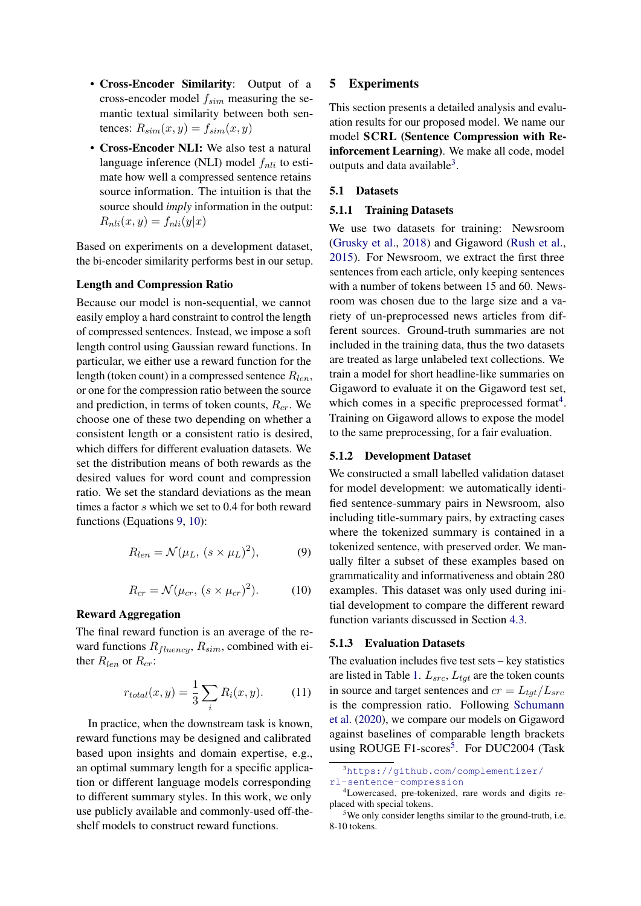- Cross-Encoder Similarity: Output of a cross-encoder model  $f_{sim}$  measuring the semantic textual similarity between both sentences:  $R_{sim}(x, y) = f_{sim}(x, y)$
- Cross-Encoder NLI: We also test a natural language inference (NLI) model  $f_{nli}$  to estimate how well a compressed sentence retains source information. The intuition is that the source should *imply* information in the output:  $R_{nli}(x, y) = f_{nli}(y|x)$

Based on experiments on a development dataset, the bi-encoder similarity performs best in our setup.

## Length and Compression Ratio

Because our model is non-sequential, we cannot easily employ a hard constraint to control the length of compressed sentences. Instead, we impose a soft length control using Gaussian reward functions. In particular, we either use a reward function for the length (token count) in a compressed sentence  $R_{len}$ , or one for the compression ratio between the source and prediction, in terms of token counts,  $R_{cr}$ . We choose one of these two depending on whether a consistent length or a consistent ratio is desired, which differs for different evaluation datasets. We set the distribution means of both rewards as the desired values for word count and compression ratio. We set the standard deviations as the mean times a factor s which we set to 0.4 for both reward functions (Equations [9,](#page-4-1) [10\)](#page-4-2):

<span id="page-4-1"></span>
$$
R_{len} = \mathcal{N}(\mu_L, (s \times \mu_L)^2), \tag{9}
$$

$$
R_{cr} = \mathcal{N}(\mu_{cr}, (s \times \mu_{cr})^2). \tag{10}
$$

### <span id="page-4-2"></span>Reward Aggregation

The final reward function is an average of the reward functions  $R_{fluency}, R_{sim}$ , combined with either  $R_{len}$  or  $R_{cr}$ :

$$
r_{total}(x, y) = \frac{1}{3} \sum_{i} R_i(x, y).
$$
 (11)

In practice, when the downstream task is known, reward functions may be designed and calibrated based upon insights and domain expertise, e.g., an optimal summary length for a specific application or different language models corresponding to different summary styles. In this work, we only use publicly available and commonly-used off-theshelf models to construct reward functions.

## <span id="page-4-0"></span>5 Experiments

This section presents a detailed analysis and evaluation results for our proposed model. We name our model SCRL (Sentence Compression with Reinforcement Learning). We make all code, model outputs and data available $3$ .

## 5.1 Datasets

### 5.1.1 Training Datasets

We use two datasets for training: Newsroom [\(Grusky et al.,](#page-9-13) [2018\)](#page-9-13) and Gigaword [\(Rush et al.,](#page-10-14) [2015\)](#page-10-14). For Newsroom, we extract the first three sentences from each article, only keeping sentences with a number of tokens between 15 and 60. Newsroom was chosen due to the large size and a variety of un-preprocessed news articles from different sources. Ground-truth summaries are not included in the training data, thus the two datasets are treated as large unlabeled text collections. We train a model for short headline-like summaries on Gigaword to evaluate it on the Gigaword test set, which comes in a specific preprocessed format<sup>[4](#page-4-4)</sup>. Training on Gigaword allows to expose the model to the same preprocessing, for a fair evaluation.

## 5.1.2 Development Dataset

We constructed a small labelled validation dataset for model development: we automatically identified sentence-summary pairs in Newsroom, also including title-summary pairs, by extracting cases where the tokenized summary is contained in a tokenized sentence, with preserved order. We manually filter a subset of these examples based on grammaticality and informativeness and obtain 280 examples. This dataset was only used during initial development to compare the different reward function variants discussed in Section [4.3.](#page-3-2)

## 5.1.3 Evaluation Datasets

The evaluation includes five test sets  $-$  key statistics are listed in Table [1.](#page-5-1)  $L_{src}$ ,  $L_{tgt}$  are the token counts in source and target sentences and  $cr = L_{tot}/L_{src}$ is the compression ratio. Following [Schumann](#page-10-5) [et al.](#page-10-5) [\(2020\)](#page-10-5), we compare our models on Gigaword against baselines of comparable length brackets using ROUGE F1-scores<sup>[5](#page-4-5)</sup>. For DUC2004 (Task

<span id="page-4-3"></span><sup>3</sup>[https://github.com/complementizer/](https://github.com/complementizer/rl-sentence-compression) [rl-sentence-compression](https://github.com/complementizer/rl-sentence-compression)

<span id="page-4-4"></span><sup>4</sup>Lowercased, pre-tokenized, rare words and digits replaced with special tokens.

<span id="page-4-5"></span><sup>&</sup>lt;sup>5</sup>We only consider lengths similar to the ground-truth, i.e. 8-10 tokens.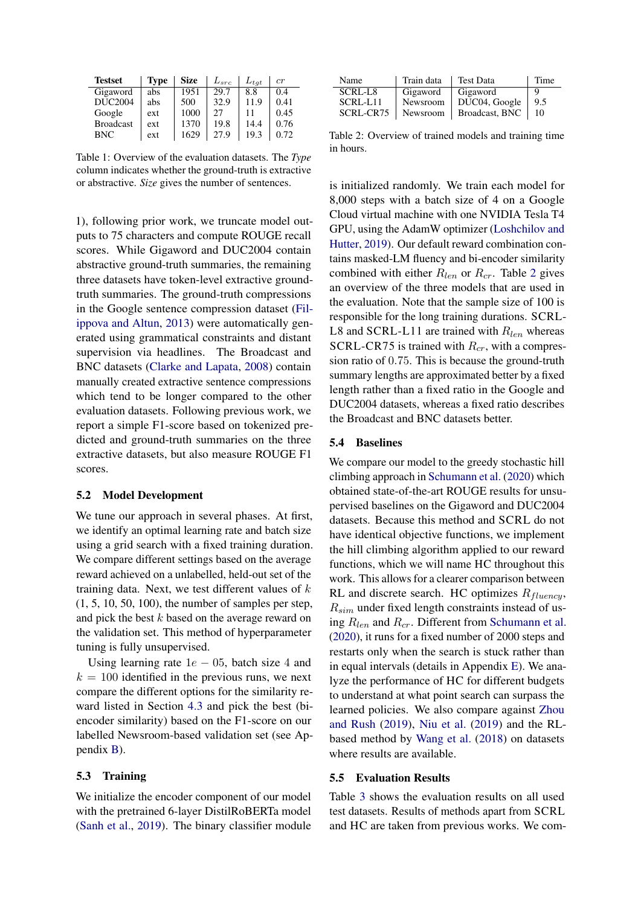<span id="page-5-1"></span>

| <b>Testset</b>   | <b>Type</b> | <b>Size</b> | $L_{src}$ | $L_{tat}$ | cr   |
|------------------|-------------|-------------|-----------|-----------|------|
| Gigaword         | abs         | 1951        | 29.7      | 8.8       | 0.4  |
| <b>DUC2004</b>   | abs         | 500         | 32.9      | 11.9      | 0.41 |
| Google           | ext         | 1000        | 27        |           | 0.45 |
| <b>Broadcast</b> | ext         | 1370        | 19.8      | 14.4      | 0.76 |
| <b>BNC</b>       | ext         | 1629        | 27.9      | 19.3      | 0.72 |

Table 1: Overview of the evaluation datasets. The *Type* column indicates whether the ground-truth is extractive or abstractive. *Size* gives the number of sentences.

1), following prior work, we truncate model outputs to 75 characters and compute ROUGE recall scores. While Gigaword and DUC2004 contain abstractive ground-truth summaries, the remaining three datasets have token-level extractive groundtruth summaries. The ground-truth compressions in the Google sentence compression dataset [\(Fil](#page-9-14)[ippova and Altun,](#page-9-14) [2013\)](#page-9-14) were automatically generated using grammatical constraints and distant supervision via headlines. The Broadcast and BNC datasets [\(Clarke and Lapata,](#page-9-4) [2008\)](#page-9-4) contain manually created extractive sentence compressions which tend to be longer compared to the other evaluation datasets. Following previous work, we report a simple F1-score based on tokenized predicted and ground-truth summaries on the three extractive datasets, but also measure ROUGE F1 scores.

## <span id="page-5-0"></span>5.2 Model Development

We tune our approach in several phases. At first, we identify an optimal learning rate and batch size using a grid search with a fixed training duration. We compare different settings based on the average reward achieved on a unlabelled, held-out set of the training data. Next, we test different values of  $k$ (1, 5, 10, 50, 100), the number of samples per step, and pick the best k based on the average reward on the validation set. This method of hyperparameter tuning is fully unsupervised.

Using learning rate  $1e - 05$ , batch size 4 and  $k = 100$  identified in the previous runs, we next compare the different options for the similarity reward listed in Section [4.3](#page-3-2) and pick the best (biencoder similarity) based on the F1-score on our labelled Newsroom-based validation set (see Appendix [B\)](#page-11-3).

#### 5.3 Training

We initialize the encoder component of our model with the pretrained 6-layer DistilRoBERTa model [\(Sanh et al.,](#page-10-12) [2019\)](#page-10-12). The binary classifier module

<span id="page-5-2"></span>

| Name      | Train data | <b>Test Data</b> | Time |
|-----------|------------|------------------|------|
| SCRL-L8   | Gigaword   | Gigaword         |      |
| SCRL-L11  | Newsroom   | DUC04, Google    | 9.5  |
| SCRL-CR75 | Newsroom   | Broadcast, BNC   | 10   |

Table 2: Overview of trained models and training time in hours.

is initialized randomly. We train each model for 8,000 steps with a batch size of 4 on a Google Cloud virtual machine with one NVIDIA Tesla T4 GPU, using the AdamW optimizer [\(Loshchilov and](#page-9-15) [Hutter,](#page-9-15) [2019\)](#page-9-15). Our default reward combination contains masked-LM fluency and bi-encoder similarity combined with either  $R_{len}$  or  $R_{cr}$ . Table [2](#page-5-2) gives an overview of the three models that are used in the evaluation. Note that the sample size of 100 is responsible for the long training durations. SCRL-L8 and SCRL-L11 are trained with  $R_{len}$  whereas SCRL-CR75 is trained with  $R_{cr}$ , with a compression ratio of 0.75. This is because the ground-truth summary lengths are approximated better by a fixed length rather than a fixed ratio in the Google and DUC2004 datasets, whereas a fixed ratio describes the Broadcast and BNC datasets better.

### 5.4 Baselines

We compare our model to the greedy stochastic hill climbing approach in [Schumann et al.](#page-10-5) [\(2020\)](#page-10-5) which obtained state-of-the-art ROUGE results for unsupervised baselines on the Gigaword and DUC2004 datasets. Because this method and SCRL do not have identical objective functions, we implement the hill climbing algorithm applied to our reward functions, which we will name HC throughout this work. This allows for a clearer comparison between RL and discrete search. HC optimizes  $R_{fluencu}$ ,  $R_{sim}$  under fixed length constraints instead of using  $R_{len}$  and  $R_{cr}$ . Different from [Schumann et al.](#page-10-5) [\(2020\)](#page-10-5), it runs for a fixed number of 2000 steps and restarts only when the search is stuck rather than in equal intervals (details in Appendix [E\)](#page-11-4). We analyze the performance of HC for different budgets to understand at what point search can surpass the learned policies. We also compare against [Zhou](#page-11-0) [and Rush](#page-11-0) [\(2019\)](#page-11-0), [Niu et al.](#page-10-4) [\(2019\)](#page-10-4) and the RLbased method by [Wang et al.](#page-10-6) [\(2018\)](#page-10-6) on datasets where results are available.

### 5.5 Evaluation Results

Table [3](#page-6-1) shows the evaluation results on all used test datasets. Results of methods apart from SCRL and HC are taken from previous works. We com-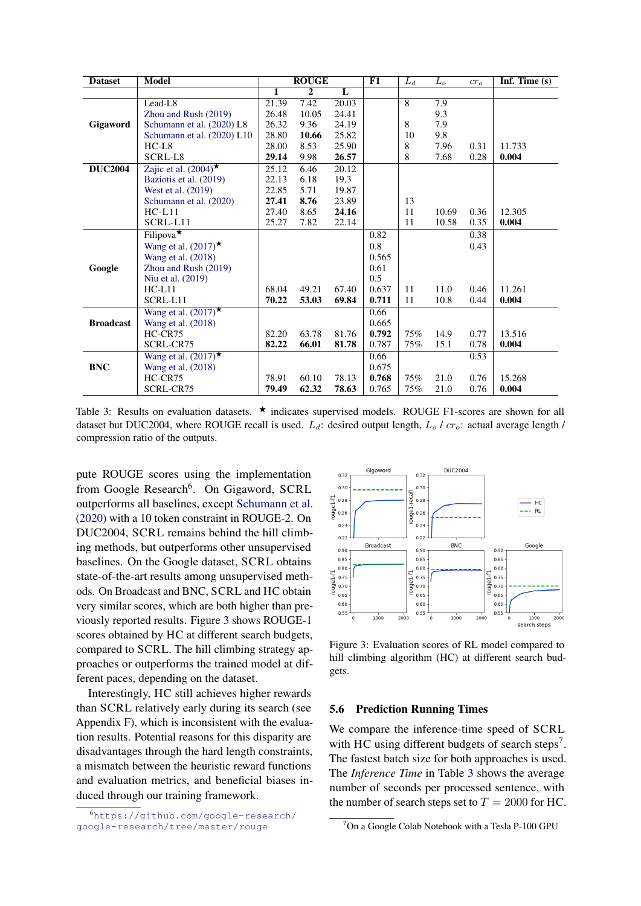<span id="page-6-1"></span>

| <b>Dataset</b>   | <b>Model</b>                       |       | <b>ROUGE</b>   |       | F1    | $L_d$          | $L_o$ | $cr_0$ | Inf. Time $(s)$ |
|------------------|------------------------------------|-------|----------------|-------|-------|----------------|-------|--------|-----------------|
|                  |                                    | 1     | $\overline{2}$ | L     |       |                |       |        |                 |
|                  | Lead-L8                            | 21.39 | 7.42           | 20.03 |       | $\overline{8}$ | 7.9   |        |                 |
|                  | Zhou and Rush (2019)               | 26.48 | 10.05          | 24.41 |       |                | 9.3   |        |                 |
| Gigaword         | Schumann et al. (2020) L8          | 26.32 | 9.36           | 24.19 |       | 8              | 7.9   |        |                 |
|                  | Schumann et al. (2020) L10         | 28.80 | 10.66          | 25.82 |       | 10             | 9.8   |        |                 |
|                  | $HC-L8$                            | 28.00 | 8.53           | 25.90 |       | 8              | 7.96  | 0.31   | 11.733          |
|                  | SCRL-L8                            | 29.14 | 9.98           | 26.57 |       | 8              | 7.68  | 0.28   | 0.004           |
| <b>DUC2004</b>   | Zajic et al. $(2004)$ <sup>*</sup> | 25.12 | 6.46           | 20.12 |       |                |       |        |                 |
|                  | Baziotis et al. (2019)             | 22.13 | 6.18           | 19.3  |       |                |       |        |                 |
|                  | West et al. (2019)                 | 22.85 | 5.71           | 19.87 |       |                |       |        |                 |
|                  | Schumann et al. (2020)             | 27.41 | 8.76           | 23.89 |       | 13             |       |        |                 |
|                  | $HC-L11$                           | 27.40 | 8.65           | 24.16 |       | 11             | 10.69 | 0.36   | 12.305          |
|                  | SCRL-L11                           | 25.27 | 7.82           | 22.14 |       | 11             | 10.58 | 0.35   | 0.004           |
|                  | Filipova $\star$                   |       |                |       | 0.82  |                |       | 0.38   |                 |
|                  | Wang et al. $(2017)^{\star}$       |       |                |       | 0.8   |                |       | 0.43   |                 |
|                  | Wang et al. (2018)                 |       |                |       | 0.565 |                |       |        |                 |
| Google           | Zhou and Rush (2019)               |       |                |       | 0.61  |                |       |        |                 |
|                  | Niu et al. (2019)                  |       |                |       | 0.5   |                |       |        |                 |
|                  | $HC-L11$                           | 68.04 | 49.21          | 67.40 | 0.637 | 11             | 11.0  | 0.46   | 11.261          |
|                  | SCRL-L11                           | 70.22 | 53.03          | 69.84 | 0.711 | 11             | 10.8  | 0.44   | 0.004           |
|                  | Wang et al. $(2017)^{\star}$       |       |                |       | 0.66  |                |       |        |                 |
| <b>Broadcast</b> | Wang et al. (2018)                 |       |                |       | 0.665 |                |       |        |                 |
|                  | $HC-CR75$                          | 82.20 | 63.78          | 81.76 | 0.792 | 75%            | 14.9  | 0.77   | 13.516          |
|                  | SCRL-CR75                          | 82.22 | 66.01          | 81.78 | 0.787 | 75%            | 15.1  | 0.78   | 0.004           |
|                  | Wang et al. $(2017)^{\star}$       |       |                |       | 0.66  |                |       | 0.53   |                 |
| <b>BNC</b>       | Wang et al. (2018)                 |       |                |       | 0.675 |                |       |        |                 |
|                  | $HC-CR75$                          | 78.91 | 60.10          | 78.13 | 0.768 | 75%            | 21.0  | 0.76   | 15.268          |
|                  | SCRL-CR75                          | 79.49 | 62.32          | 78.63 | 0.765 | 75%            | 21.0  | 0.76   | 0.004           |

Table 3: Results on evaluation datasets.  $\star$  indicates supervised models. ROUGE F1-scores are shown for all dataset but DUC2004, where ROUGE recall is used.  $L_d$ : desired output length,  $L_o$  /  $cr_o$ : actual average length / compression ratio of the outputs.

pute ROUGE scores using the implementation from Google Research<sup>[6](#page-6-2)</sup>. On Gigaword, SCRL outperforms all baselines, except [Schumann et al.](#page-10-5) [\(2020\)](#page-10-5) with a 10 token constraint in ROUGE-2. On DUC2004, SCRL remains behind the hill climbing methods, but outperforms other unsupervised baselines. On the Google dataset, SCRL obtains state-of-the-art results among unsupervised methods. On Broadcast and BNC, SCRL and HC obtain very similar scores, which are both higher than previously reported results. Figure [3](#page-6-3) shows ROUGE-1 scores obtained by HC at different search budgets, compared to SCRL. The hill climbing strategy approaches or outperforms the trained model at different paces, depending on the dataset.

Interestingly, HC still achieves higher rewards than SCRL relatively early during its search (see Appendix [F\)](#page-12-0), which is inconsistent with the evaluation results. Potential reasons for this disparity are disadvantages through the hard length constraints, a mismatch between the heuristic reward functions and evaluation metrics, and beneficial biases induced through our training framework.

<span id="page-6-2"></span><sup>6</sup>[https://github.com/google-research/](https://github.com/google-research/google-research/tree/master/rouge) [google-research/tree/master/rouge](https://github.com/google-research/google-research/tree/master/rouge)

<span id="page-6-3"></span>

Figure 3: Evaluation scores of RL model compared to hill climbing algorithm (HC) at different search budgets.

#### <span id="page-6-0"></span>5.6 Prediction Running Times

We compare the inference-time speed of SCRL with HC using different budgets of search steps<sup>[7](#page-6-4)</sup>. The fastest batch size for both approaches is used. The *Inference Time* in Table [3](#page-6-1) shows the average number of seconds per processed sentence, with the number of search steps set to  $T = 2000$  for HC.

<span id="page-6-4"></span><sup>&</sup>lt;sup>7</sup>On a Google Colab Notebook with a Tesla P-100 GPU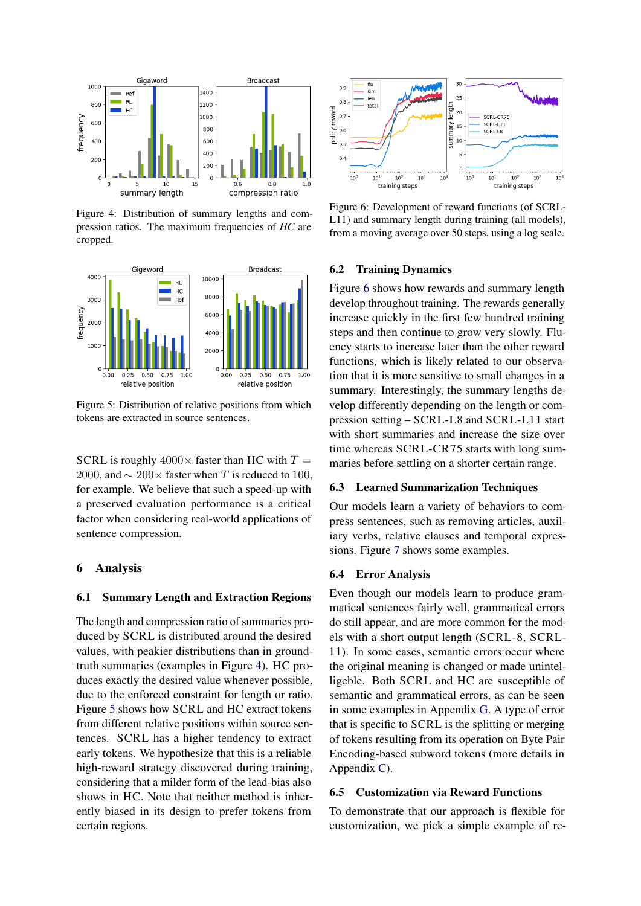<span id="page-7-1"></span>

Figure 4: Distribution of summary lengths and compression ratios. The maximum frequencies of *HC* are cropped.

<span id="page-7-2"></span>

Figure 5: Distribution of relative positions from which tokens are extracted in source sentences.

SCRL is roughly  $4000 \times$  faster than HC with  $T =$ 2000, and  $\sim$  200 $\times$  faster when T is reduced to 100, for example. We believe that such a speed-up with a preserved evaluation performance is a critical factor when considering real-world applications of sentence compression.

## <span id="page-7-0"></span>6 Analysis

#### 6.1 Summary Length and Extraction Regions

The length and compression ratio of summaries produced by SCRL is distributed around the desired values, with peakier distributions than in groundtruth summaries (examples in Figure [4\)](#page-7-1). HC produces exactly the desired value whenever possible, due to the enforced constraint for length or ratio. Figure [5](#page-7-2) shows how SCRL and HC extract tokens from different relative positions within source sentences. SCRL has a higher tendency to extract early tokens. We hypothesize that this is a reliable high-reward strategy discovered during training, considering that a milder form of the lead-bias also shows in HC. Note that neither method is inherently biased in its design to prefer tokens from certain regions.

<span id="page-7-3"></span>

Figure 6: Development of reward functions (of SCRL-L11) and summary length during training (all models), from a moving average over 50 steps, using a log scale.

## 6.2 Training Dynamics

Figure [6](#page-7-3) shows how rewards and summary length develop throughout training. The rewards generally increase quickly in the first few hundred training steps and then continue to grow very slowly. Fluency starts to increase later than the other reward functions, which is likely related to our observation that it is more sensitive to small changes in a summary. Interestingly, the summary lengths develop differently depending on the length or compression setting – SCRL-L8 and SCRL-L11 start with short summaries and increase the size over time whereas SCRL-CR75 starts with long summaries before settling on a shorter certain range.

## 6.3 Learned Summarization Techniques

Our models learn a variety of behaviors to compress sentences, such as removing articles, auxiliary verbs, relative clauses and temporal expressions. Figure [7](#page-8-1) shows some examples.

#### 6.4 Error Analysis

Even though our models learn to produce grammatical sentences fairly well, grammatical errors do still appear, and are more common for the models with a short output length (SCRL-8, SCRL-11). In some cases, semantic errors occur where the original meaning is changed or made unintelligeble. Both SCRL and HC are susceptible of semantic and grammatical errors, as can be seen in some examples in Appendix [G.](#page-12-1) A type of error that is specific to SCRL is the splitting or merging of tokens resulting from its operation on Byte Pair Encoding-based subword tokens (more details in Appendix [C\)](#page-11-5).

## 6.5 Customization via Reward Functions

To demonstrate that our approach is flexible for customization, we pick a simple example of re-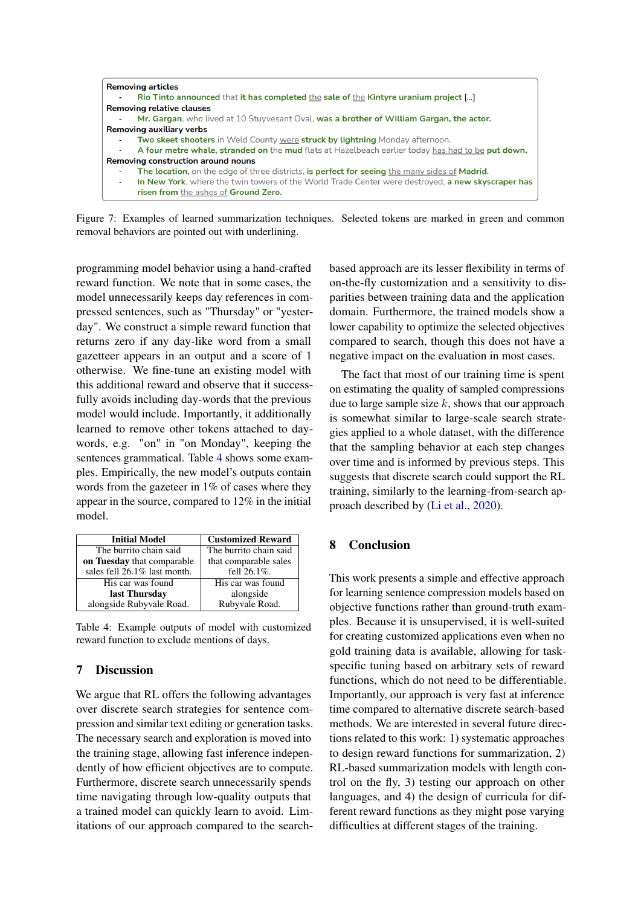<span id="page-8-1"></span>

Figure 7: Examples of learned summarization techniques. Selected tokens are marked in green and common removal behaviors are pointed out with underlining.

programming model behavior using a hand-crafted reward function. We note that in some cases, the model unnecessarily keeps day references in compressed sentences, such as "Thursday" or "yesterday". We construct a simple reward function that returns zero if any day-like word from a small gazetteer appears in an output and a score of 1 otherwise. We fine-tune an existing model with this additional reward and observe that it successfully avoids including day-words that the previous model would include. Importantly, it additionally learned to remove other tokens attached to daywords, e.g. "on" in "on Monday", keeping the sentences grammatical. Table [4](#page-8-2) shows some examples. Empirically, the new model's outputs contain words from the gazeteer in 1% of cases where they appear in the source, compared to 12% in the initial model.

<span id="page-8-2"></span>

| <b>Initial Model</b>         | <b>Customized Reward</b> |
|------------------------------|--------------------------|
| The burrito chain said       | The burrito chain said   |
| on Tuesday that comparable   | that comparable sales    |
| sales fell 26.1% last month. | fell 26.1%.              |
| His car was found            | His car was found        |
| last Thursday                | alongside                |
| alongside Rubyvale Road.     | Rubyvale Road.           |

Table 4: Example outputs of model with customized reward function to exclude mentions of days.

# <span id="page-8-0"></span>7 Discussion

We argue that RL offers the following advantages over discrete search strategies for sentence compression and similar text editing or generation tasks. The necessary search and exploration is moved into the training stage, allowing fast inference independently of how efficient objectives are to compute. Furthermore, discrete search unnecessarily spends time navigating through low-quality outputs that a trained model can quickly learn to avoid. Limitations of our approach compared to the searchbased approach are its lesser flexibility in terms of on-the-fly customization and a sensitivity to disparities between training data and the application domain. Furthermore, the trained models show a lower capability to optimize the selected objectives compared to search, though this does not have a negative impact on the evaluation in most cases.

The fact that most of our training time is spent on estimating the quality of sampled compressions due to large sample size  $k$ , shows that our approach is somewhat similar to large-scale search strategies applied to a whole dataset, with the difference that the sampling behavior at each step changes over time and is informed by previous steps. This suggests that discrete search could support the RL training, similarly to the learning-from-search approach described by [\(Li et al.,](#page-9-17) [2020\)](#page-9-17).

## 8 Conclusion

This work presents a simple and effective approach for learning sentence compression models based on objective functions rather than ground-truth examples. Because it is unsupervised, it is well-suited for creating customized applications even when no gold training data is available, allowing for taskspecific tuning based on arbitrary sets of reward functions, which do not need to be differentiable. Importantly, our approach is very fast at inference time compared to alternative discrete search-based methods. We are interested in several future directions related to this work: 1) systematic approaches to design reward functions for summarization, 2) RL-based summarization models with length control on the fly, 3) testing our approach on other languages, and 4) the design of curricula for different reward functions as they might pose varying difficulties at different stages of the training.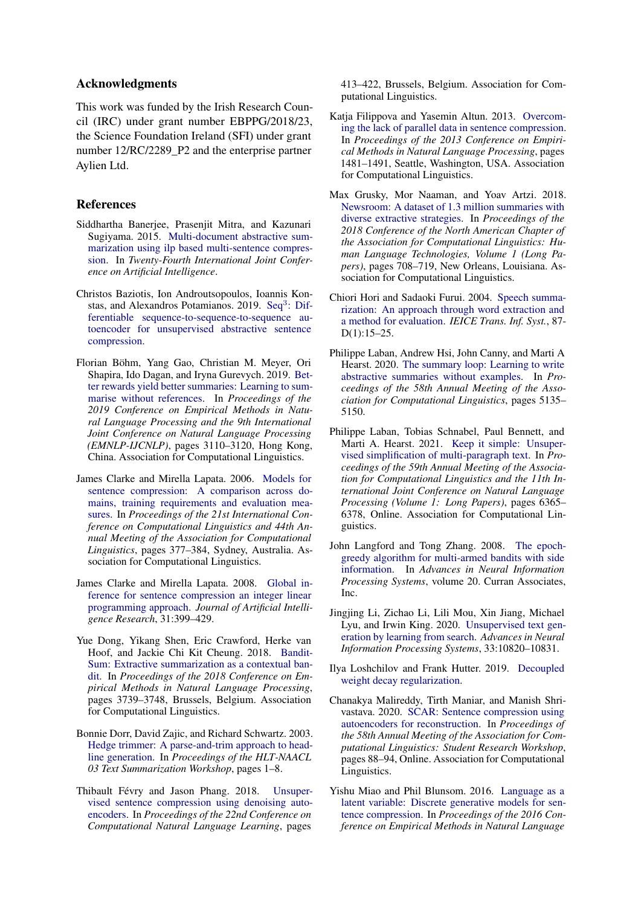## Acknowledgments

This work was funded by the Irish Research Council (IRC) under grant number EBPPG/2018/23, the Science Foundation Ireland (SFI) under grant number 12/RC/2289\_P2 and the enterprise partner Aylien Ltd.

## References

- <span id="page-9-0"></span>Siddhartha Banerjee, Prasenjit Mitra, and Kazunari Sugiyama. 2015. [Multi-document abstractive sum](https://www.ijcai.org/Proceedings/15/Papers/174.pdf)[marization using ilp based multi-sentence compres](https://www.ijcai.org/Proceedings/15/Papers/174.pdf)[sion.](https://www.ijcai.org/Proceedings/15/Papers/174.pdf) In *Twenty-Fourth International Joint Conference on Artificial Intelligence*.
- <span id="page-9-16"></span>Christos Baziotis, Ion Androutsopoulos, Ioannis Kon-stas, and Alexandros Potamianos. 2019. Seq<sup>3</sup>[: Dif](http://arxiv.org/abs/1904.03651)[ferentiable sequence-to-sequence-to-sequence au](http://arxiv.org/abs/1904.03651)[toencoder for unsupervised abstractive sentence](http://arxiv.org/abs/1904.03651) [compression.](http://arxiv.org/abs/1904.03651)
- <span id="page-9-9"></span>Florian Böhm, Yang Gao, Christian M. Meyer, Ori Shapira, Ido Dagan, and Iryna Gurevych. 2019. [Bet](https://doi.org/10.18653/v1/D19-1307)[ter rewards yield better summaries: Learning to sum](https://doi.org/10.18653/v1/D19-1307)[marise without references.](https://doi.org/10.18653/v1/D19-1307) In *Proceedings of the 2019 Conference on Empirical Methods in Natural Language Processing and the 9th International Joint Conference on Natural Language Processing (EMNLP-IJCNLP)*, pages 3110–3120, Hong Kong, China. Association for Computational Linguistics.
- <span id="page-9-3"></span>James Clarke and Mirella Lapata. 2006. [Models for](https://doi.org/10.3115/1220175.1220223) [sentence compression: A comparison across do](https://doi.org/10.3115/1220175.1220223)[mains, training requirements and evaluation mea](https://doi.org/10.3115/1220175.1220223)[sures.](https://doi.org/10.3115/1220175.1220223) In *Proceedings of the 21st International Conference on Computational Linguistics and 44th Annual Meeting of the Association for Computational Linguistics*, pages 377–384, Sydney, Australia. Association for Computational Linguistics.
- <span id="page-9-4"></span>James Clarke and Mirella Lapata. 2008. [Global in](http://jamesclarke.net/media/papers/clarke-lapata-jair2008.pdf)[ference for sentence compression an integer linear](http://jamesclarke.net/media/papers/clarke-lapata-jair2008.pdf) [programming approach.](http://jamesclarke.net/media/papers/clarke-lapata-jair2008.pdf) *Journal of Artificial Intelligence Research*, 31:399–429.
- <span id="page-9-8"></span>Yue Dong, Yikang Shen, Eric Crawford, Herke van Hoof, and Jackie Chi Kit Cheung. 2018. [Bandit-](https://doi.org/10.18653/v1/D18-1409)[Sum: Extractive summarization as a contextual ban](https://doi.org/10.18653/v1/D18-1409)[dit.](https://doi.org/10.18653/v1/D18-1409) In *Proceedings of the 2018 Conference on Empirical Methods in Natural Language Processing*, pages 3739–3748, Brussels, Belgium. Association for Computational Linguistics.
- <span id="page-9-1"></span>Bonnie Dorr, David Zajic, and Richard Schwartz. 2003. [Hedge trimmer: A parse-and-trim approach to head](https://aclanthology.org/W03-0501)[line generation.](https://aclanthology.org/W03-0501) In *Proceedings of the HLT-NAACL 03 Text Summarization Workshop*, pages 1–8.
- <span id="page-9-6"></span>Thibault Févry and Jason Phang. 2018. [Unsuper](https://doi.org/10.18653/v1/K18-1040)[vised sentence compression using denoising auto](https://doi.org/10.18653/v1/K18-1040)[encoders.](https://doi.org/10.18653/v1/K18-1040) In *Proceedings of the 22nd Conference on Computational Natural Language Learning*, pages

413–422, Brussels, Belgium. Association for Computational Linguistics.

- <span id="page-9-14"></span>Katja Filippova and Yasemin Altun. 2013. [Overcom](https://aclanthology.org/D13-1155)[ing the lack of parallel data in sentence compression.](https://aclanthology.org/D13-1155) In *Proceedings of the 2013 Conference on Empirical Methods in Natural Language Processing*, pages 1481–1491, Seattle, Washington, USA. Association for Computational Linguistics.
- <span id="page-9-13"></span>Max Grusky, Mor Naaman, and Yoav Artzi. 2018. [Newsroom: A dataset of 1.3 million summaries with](https://doi.org/10.18653/v1/N18-1065) [diverse extractive strategies.](https://doi.org/10.18653/v1/N18-1065) In *Proceedings of the 2018 Conference of the North American Chapter of the Association for Computational Linguistics: Human Language Technologies, Volume 1 (Long Papers)*, pages 708–719, New Orleans, Louisiana. Association for Computational Linguistics.
- <span id="page-9-2"></span>Chiori Hori and Sadaoki Furui. 2004. [Speech summa](http://search.ieice.org/bin/summary.php?id=e87-d_1_15)[rization: An approach through word extraction and](http://search.ieice.org/bin/summary.php?id=e87-d_1_15) [a method for evaluation.](http://search.ieice.org/bin/summary.php?id=e87-d_1_15) *IEICE Trans. Inf. Syst.*, 87- D(1):15–25.
- <span id="page-9-10"></span>Philippe Laban, Andrew Hsi, John Canny, and Marti A Hearst. 2020. [The summary loop: Learning to write](https://aclanthology.org/2020.acl-main.460.pdf) [abstractive summaries without examples.](https://aclanthology.org/2020.acl-main.460.pdf) In *Proceedings of the 58th Annual Meeting of the Association for Computational Linguistics*, pages 5135– 5150.
- <span id="page-9-12"></span>Philippe Laban, Tobias Schnabel, Paul Bennett, and Marti A. Hearst. 2021. [Keep it simple: Unsuper](https://doi.org/10.18653/v1/2021.acl-long.498)[vised simplification of multi-paragraph text.](https://doi.org/10.18653/v1/2021.acl-long.498) In *Proceedings of the 59th Annual Meeting of the Association for Computational Linguistics and the 11th International Joint Conference on Natural Language Processing (Volume 1: Long Papers)*, pages 6365– 6378, Online. Association for Computational Linguistics.
- <span id="page-9-11"></span>John Langford and Tong Zhang. 2008. [The epoch](https://proceedings.neurips.cc/paper/2007/file/4b04a686b0ad13dce35fa99fa4161c65-Paper.pdf)[greedy algorithm for multi-armed bandits with side](https://proceedings.neurips.cc/paper/2007/file/4b04a686b0ad13dce35fa99fa4161c65-Paper.pdf) [information.](https://proceedings.neurips.cc/paper/2007/file/4b04a686b0ad13dce35fa99fa4161c65-Paper.pdf) In *Advances in Neural Information Processing Systems*, volume 20. Curran Associates, Inc.
- <span id="page-9-17"></span>Jingjing Li, Zichao Li, Lili Mou, Xin Jiang, Michael Lyu, and Irwin King. 2020. [Unsupervised text gen](https://proceedings.neurips.cc/paper/2020/file/7a677bb4477ae2dd371add568dd19e23-Paper.pdf)[eration by learning from search.](https://proceedings.neurips.cc/paper/2020/file/7a677bb4477ae2dd371add568dd19e23-Paper.pdf) *Advances in Neural Information Processing Systems*, 33:10820–10831.
- <span id="page-9-15"></span>Ilya Loshchilov and Frank Hutter. 2019. [Decoupled](http://arxiv.org/abs/1711.05101) [weight decay regularization.](http://arxiv.org/abs/1711.05101)
- <span id="page-9-7"></span>Chanakya Malireddy, Tirth Maniar, and Manish Shrivastava. 2020. [SCAR: Sentence compression using](https://doi.org/10.18653/v1/2020.acl-srw.13) [autoencoders for reconstruction.](https://doi.org/10.18653/v1/2020.acl-srw.13) In *Proceedings of the 58th Annual Meeting of the Association for Computational Linguistics: Student Research Workshop*, pages 88–94, Online. Association for Computational Linguistics.
- <span id="page-9-5"></span>Yishu Miao and Phil Blunsom. 2016. [Language as a](https://doi.org/10.18653/v1/D16-1031) [latent variable: Discrete generative models for sen](https://doi.org/10.18653/v1/D16-1031)[tence compression.](https://doi.org/10.18653/v1/D16-1031) In *Proceedings of the 2016 Conference on Empirical Methods in Natural Language*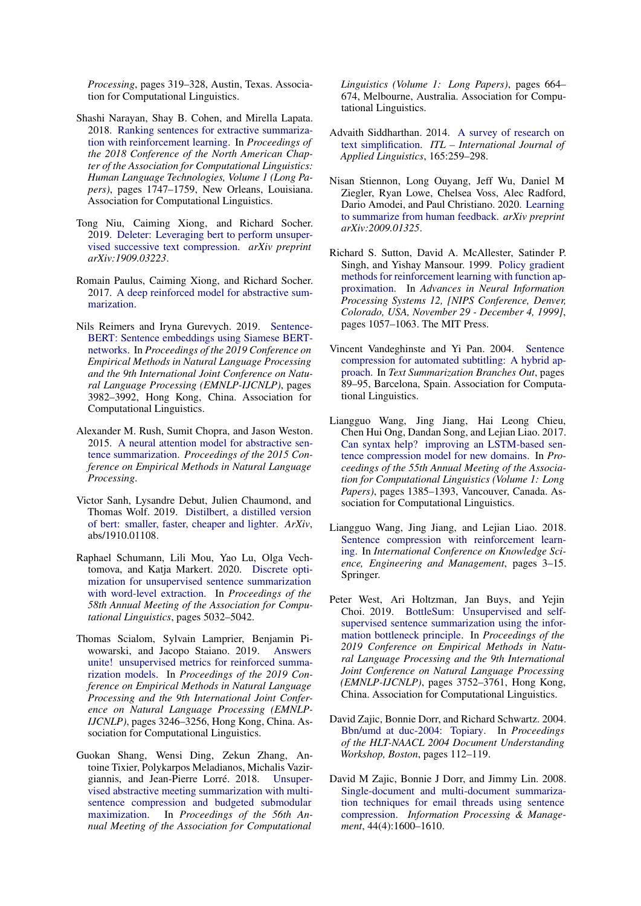*Processing*, pages 319–328, Austin, Texas. Association for Computational Linguistics.

- <span id="page-10-8"></span>Shashi Narayan, Shay B. Cohen, and Mirella Lapata. 2018. [Ranking sentences for extractive summariza](https://doi.org/10.18653/v1/N18-1158)[tion with reinforcement learning.](https://doi.org/10.18653/v1/N18-1158) In *Proceedings of the 2018 Conference of the North American Chapter of the Association for Computational Linguistics: Human Language Technologies, Volume 1 (Long Papers)*, pages 1747–1759, New Orleans, Louisiana. Association for Computational Linguistics.
- <span id="page-10-4"></span>Tong Niu, Caiming Xiong, and Richard Socher. 2019. [Deleter: Leveraging bert to perform unsuper](https://arxiv.org/pdf/1909.03223.pdf)[vised successive text compression.](https://arxiv.org/pdf/1909.03223.pdf) *arXiv preprint arXiv:1909.03223*.
- <span id="page-10-7"></span>Romain Paulus, Caiming Xiong, and Richard Socher. 2017. [A deep reinforced model for abstractive sum](http://arxiv.org/abs/1705.04304)[marization.](http://arxiv.org/abs/1705.04304)
- <span id="page-10-13"></span>Nils Reimers and Iryna Gurevych. 2019. [Sentence-](https://doi.org/10.18653/v1/D19-1410)[BERT: Sentence embeddings using Siamese BERT](https://doi.org/10.18653/v1/D19-1410)[networks.](https://doi.org/10.18653/v1/D19-1410) In *Proceedings of the 2019 Conference on Empirical Methods in Natural Language Processing and the 9th International Joint Conference on Natural Language Processing (EMNLP-IJCNLP)*, pages 3982–3992, Hong Kong, China. Association for Computational Linguistics.
- <span id="page-10-14"></span>Alexander M. Rush, Sumit Chopra, and Jason Weston. 2015. [A neural attention model for abstractive sen](https://doi.org/10.18653/v1/d15-1044)[tence summarization.](https://doi.org/10.18653/v1/d15-1044) *Proceedings of the 2015 Conference on Empirical Methods in Natural Language Processing*.
- <span id="page-10-12"></span>Victor Sanh, Lysandre Debut, Julien Chaumond, and Thomas Wolf. 2019. [Distilbert, a distilled version](https://arxiv.org/pdf/1910.01108.pdf) [of bert: smaller, faster, cheaper and lighter.](https://arxiv.org/pdf/1910.01108.pdf) *ArXiv*, abs/1910.01108.
- <span id="page-10-5"></span>Raphael Schumann, Lili Mou, Yao Lu, Olga Vechtomova, and Katja Markert. 2020. [Discrete opti](https://aclanthology.org/2020.acl-main.452.pdf)[mization for unsupervised sentence summarization](https://aclanthology.org/2020.acl-main.452.pdf) [with word-level extraction.](https://aclanthology.org/2020.acl-main.452.pdf) In *Proceedings of the 58th Annual Meeting of the Association for Computational Linguistics*, pages 5032–5042.
- <span id="page-10-9"></span>Thomas Scialom, Sylvain Lamprier, Benjamin Piwowarski, and Jacopo Staiano. 2019. [Answers](https://doi.org/10.18653/v1/D19-1320) [unite! unsupervised metrics for reinforced summa](https://doi.org/10.18653/v1/D19-1320)[rization models.](https://doi.org/10.18653/v1/D19-1320) In *Proceedings of the 2019 Conference on Empirical Methods in Natural Language Processing and the 9th International Joint Conference on Natural Language Processing (EMNLP-IJCNLP)*, pages 3246–3256, Hong Kong, China. Association for Computational Linguistics.
- <span id="page-10-1"></span>Guokan Shang, Wensi Ding, Zekun Zhang, Antoine Tixier, Polykarpos Meladianos, Michalis Vazirgiannis, and Jean-Pierre Lorré. 2018. [Unsuper](https://doi.org/10.18653/v1/P18-1062)[vised abstractive meeting summarization with multi](https://doi.org/10.18653/v1/P18-1062)[sentence compression and budgeted submodular](https://doi.org/10.18653/v1/P18-1062) [maximization.](https://doi.org/10.18653/v1/P18-1062) In *Proceedings of the 56th Annual Meeting of the Association for Computational*

*Linguistics (Volume 1: Long Papers)*, pages 664– 674, Melbourne, Australia. Association for Computational Linguistics.

- <span id="page-10-0"></span>Advaith Siddharthan. 2014. [A survey of research on](https://citeseerx.ist.psu.edu/viewdoc/download?doi=10.1.1.719.6413&rep=rep1&type=pdf) [text simplification.](https://citeseerx.ist.psu.edu/viewdoc/download?doi=10.1.1.719.6413&rep=rep1&type=pdf) *ITL – International Journal of Applied Linguistics*, 165:259–298.
- <span id="page-10-10"></span>Nisan Stiennon, Long Ouyang, Jeff Wu, Daniel M Ziegler, Ryan Lowe, Chelsea Voss, Alec Radford, Dario Amodei, and Paul Christiano. 2020. [Learning](https://arxiv.org/abs/2009.01325) [to summarize from human feedback.](https://arxiv.org/abs/2009.01325) *arXiv preprint arXiv:2009.01325*.
- <span id="page-10-11"></span>Richard S. Sutton, David A. McAllester, Satinder P. Singh, and Yishay Mansour. 1999. [Policy gradient](http://papers.nips.cc/paper/1713-policy-gradient-methods-for-reinforcement-learning-with-function-approximation) [methods for reinforcement learning with function ap](http://papers.nips.cc/paper/1713-policy-gradient-methods-for-reinforcement-learning-with-function-approximation)[proximation.](http://papers.nips.cc/paper/1713-policy-gradient-methods-for-reinforcement-learning-with-function-approximation) In *Advances in Neural Information Processing Systems 12, [NIPS Conference, Denver, Colorado, USA, November 29 - December 4, 1999]*, pages 1057–1063. The MIT Press.
- <span id="page-10-2"></span>Vincent Vandeghinste and Yi Pan. 2004. [Sentence](https://aclanthology.org/W04-1015) [compression for automated subtitling: A hybrid ap](https://aclanthology.org/W04-1015)[proach.](https://aclanthology.org/W04-1015) In *Text Summarization Branches Out*, pages 89–95, Barcelona, Spain. Association for Computational Linguistics.
- <span id="page-10-17"></span>Liangguo Wang, Jing Jiang, Hai Leong Chieu, Chen Hui Ong, Dandan Song, and Lejian Liao. 2017. [Can syntax help? improving an LSTM-based sen](https://doi.org/10.18653/v1/P17-1127)[tence compression model for new domains.](https://doi.org/10.18653/v1/P17-1127) In *Proceedings of the 55th Annual Meeting of the Association for Computational Linguistics (Volume 1: Long Papers)*, pages 1385–1393, Vancouver, Canada. Association for Computational Linguistics.
- <span id="page-10-6"></span>Liangguo Wang, Jing Jiang, and Lejian Liao. 2018. [Sentence compression with reinforcement learn](https://www.researchgate.net/profile/Wang-Liangguo/publication/326974102_Sentence_Compression_with_Reinforcement_Learning_11th_International_Conference_KSEM_2018_Changchun_China_August_17-19_2018_Proceedings_Part_I/links/5c70b0ac299bf1268d1e1307/Sentence-Compression-with-Reinforcement-Learning-11th-International-Conference-KSEM-2018-Changchun-China-August-17-19-2018-Proceedings-Part-I.pdf)[ing.](https://www.researchgate.net/profile/Wang-Liangguo/publication/326974102_Sentence_Compression_with_Reinforcement_Learning_11th_International_Conference_KSEM_2018_Changchun_China_August_17-19_2018_Proceedings_Part_I/links/5c70b0ac299bf1268d1e1307/Sentence-Compression-with-Reinforcement-Learning-11th-International-Conference-KSEM-2018-Changchun-China-August-17-19-2018-Proceedings-Part-I.pdf) In *International Conference on Knowledge Science, Engineering and Management*, pages 3–15. Springer.
- <span id="page-10-16"></span>Peter West, Ari Holtzman, Jan Buys, and Yejin Choi. 2019. [BottleSum: Unsupervised and self](https://doi.org/10.18653/v1/D19-1389)[supervised sentence summarization using the infor](https://doi.org/10.18653/v1/D19-1389)[mation bottleneck principle.](https://doi.org/10.18653/v1/D19-1389) In *Proceedings of the 2019 Conference on Empirical Methods in Natural Language Processing and the 9th International Joint Conference on Natural Language Processing (EMNLP-IJCNLP)*, pages 3752–3761, Hong Kong, China. Association for Computational Linguistics.
- <span id="page-10-15"></span>David Zajic, Bonnie Dorr, and Richard Schwartz. 2004. [Bbn/umd at duc-2004: Topiary.](http://users.umiacs.umd.edu/~bonnie/Publications/Attic/DUC2004-HEADLINE.pdf) In *Proceedings of the HLT-NAACL 2004 Document Understanding Workshop, Boston*, pages 112–119.
- <span id="page-10-3"></span>David M Zajic, Bonnie J Dorr, and Jimmy Lin. 2008. [Single-document and multi-document summariza](http://www.jimmylin.umiacs.io/publications/Zajic_etal_IPM2008.pdf)[tion techniques for email threads using sentence](http://www.jimmylin.umiacs.io/publications/Zajic_etal_IPM2008.pdf) [compression.](http://www.jimmylin.umiacs.io/publications/Zajic_etal_IPM2008.pdf) *Information Processing & Management*, 44(4):1600–1610.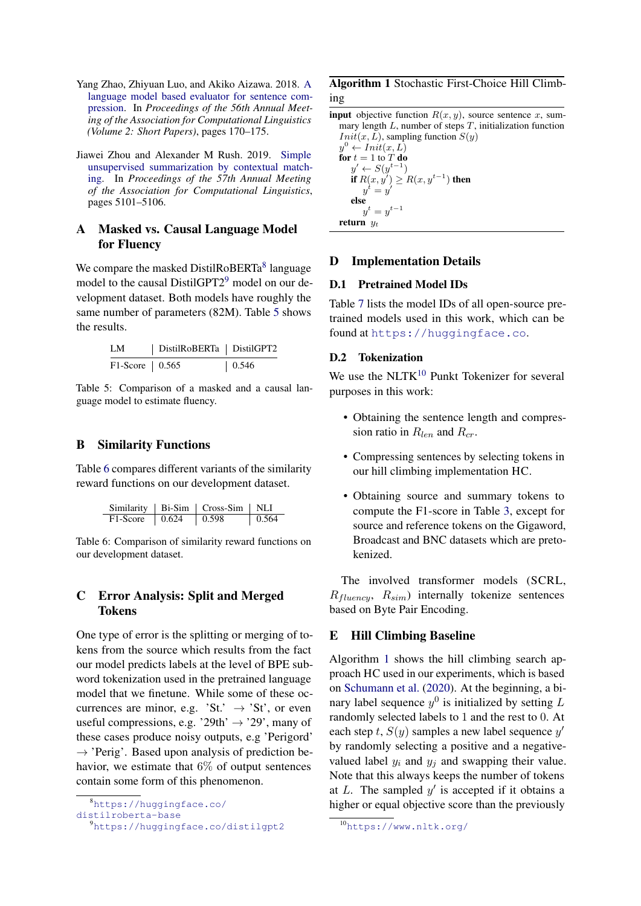- <span id="page-11-1"></span>Yang Zhao, Zhiyuan Luo, and Akiko Aizawa. 2018. [A](https://aclanthology.org/P18-2028.pdf) [language model based evaluator for sentence com](https://aclanthology.org/P18-2028.pdf)[pression.](https://aclanthology.org/P18-2028.pdf) In *Proceedings of the 56th Annual Meeting of the Association for Computational Linguistics (Volume 2: Short Papers)*, pages 170–175.
- <span id="page-11-0"></span>Jiawei Zhou and Alexander M Rush. 2019. [Simple](https://aclanthology.org/P19-1503.pdf) [unsupervised summarization by contextual match](https://aclanthology.org/P19-1503.pdf)[ing.](https://aclanthology.org/P19-1503.pdf) In *Proceedings of the 57th Annual Meeting of the Association for Computational Linguistics*, pages 5101–5106.

# <span id="page-11-2"></span>A Masked vs. Causal Language Model for Fluency

We compare the masked DistilRoBERTa<sup>[8](#page-11-6)</sup> language model to the causal DistilGPT2<sup>[9](#page-11-7)</sup> model on our development dataset. Both models have roughly the same number of parameters (82M). Table [5](#page-11-8) shows the results.

<span id="page-11-8"></span>

Table 5: Comparison of a masked and a causal language model to estimate fluency.

### <span id="page-11-3"></span>B Similarity Functions

Table [6](#page-11-9) compares different variants of the similarity reward functions on our development dataset.

<span id="page-11-9"></span>

|                    | Similarity   Bi-Sim   Cross-Sim   NLI |       |
|--------------------|---------------------------------------|-------|
| $F1-Score$   0.624 | $\pm 0.598$                           | 0.564 |

Table 6: Comparison of similarity reward functions on our development dataset.

# <span id="page-11-5"></span>C Error Analysis: Split and Merged Tokens

One type of error is the splitting or merging of tokens from the source which results from the fact our model predicts labels at the level of BPE subword tokenization used in the pretrained language model that we finetune. While some of these occurrences are minor, e.g. 'St.'  $\rightarrow$  'St', or even useful compressions, e.g. '29th'  $\rightarrow$  '29', many of these cases produce noisy outputs, e.g 'Perigord'  $\rightarrow$  'Perig'. Based upon analysis of prediction behavior, we estimate that  $6\%$  of output sentences contain some form of this phenomenon.

```
8https://huggingface.co/
```

```
distilroberta-base
```

```
9https://huggingface.co/distilgpt2
```
# <span id="page-11-11"></span>Algorithm 1 Stochastic First-Choice Hill Climbing

**input** objective function  $R(x, y)$ , source sentence x, summary length  $L$ , number of steps  $T$ , initialization function  $Init(x, L)$ , sampling function  $S(y)$  $y^0 \leftarrow \textit{Init}(x, L)$ for  $t = 1$  to  $T$  do  $y' \leftarrow S(y^{t-1})$ if  $R(x, y') \geq R(x, y^{t-1})$  then

$$
y^t = y'
$$
  
\nelse  
\n
$$
y^t = y^{t-1}
$$
  
\nreturn  $y_t$ 

# D Implementation Details

# D.1 Pretrained Model IDs

Table [7](#page-12-2) lists the model IDs of all open-source pretrained models used in this work, which can be found at <https://huggingface.co>.

## D.2 Tokenization

We use the NLTK<sup>[10](#page-11-10)</sup> Punkt Tokenizer for several purposes in this work:

- Obtaining the sentence length and compression ratio in  $R_{len}$  and  $R_{cr}$ .
- Compressing sentences by selecting tokens in our hill climbing implementation HC.
- Obtaining source and summary tokens to compute the F1-score in Table [3,](#page-6-1) except for source and reference tokens on the Gigaword, Broadcast and BNC datasets which are pretokenized.

The involved transformer models (SCRL,  $R_{fluencu}$ ,  $R_{sim}$ ) internally tokenize sentences based on Byte Pair Encoding.

# <span id="page-11-4"></span>E Hill Climbing Baseline

Algorithm [1](#page-11-11) shows the hill climbing search approach HC used in our experiments, which is based on [Schumann et al.](#page-10-5) [\(2020\)](#page-10-5). At the beginning, a binary label sequence  $y^0$  is initialized by setting L randomly selected labels to 1 and the rest to 0. At each step t,  $S(y)$  samples a new label sequence  $y'$ by randomly selecting a positive and a negativevalued label  $y_i$  and  $y_j$  and swapping their value. Note that this always keeps the number of tokens at  $L$ . The sampled  $y'$  is accepted if it obtains a higher or equal objective score than the previously

<span id="page-11-10"></span><sup>10</sup><https://www.nltk.org/>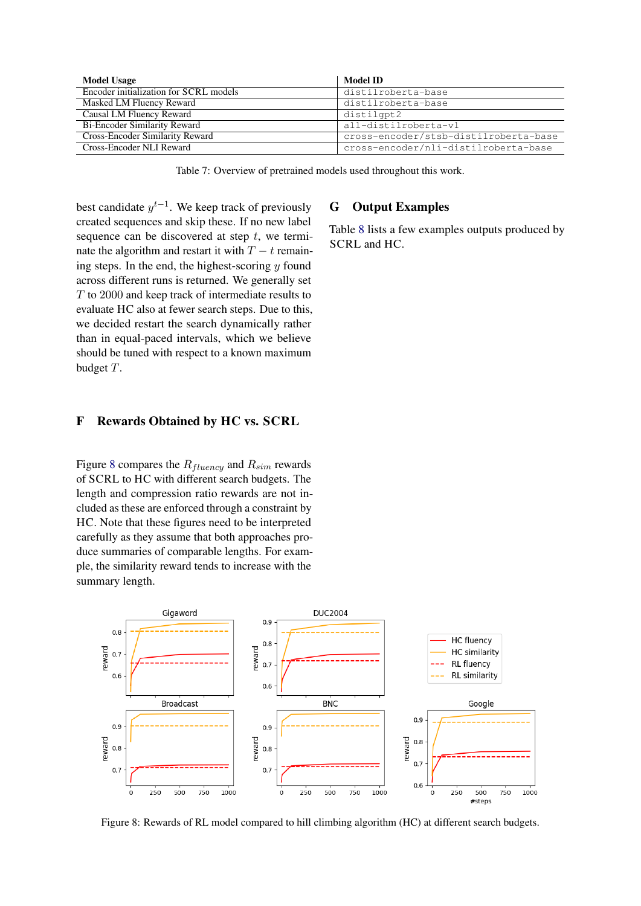<span id="page-12-2"></span>

| <b>Model Usage</b>                     | Model ID                              |
|----------------------------------------|---------------------------------------|
| Encoder initialization for SCRL models | distilroberta-base                    |
| Masked LM Fluency Reward               | distilroberta-base                    |
| Causal LM Fluency Reward               | distilgpt2                            |
| <b>Bi-Encoder Similarity Reward</b>    | all-distilroberta-v1                  |
| Cross-Encoder Similarity Reward        | cross-encoder/stsb-distilroberta-base |
| Cross-Encoder NLI Reward               | cross-encoder/nli-distilroberta-base  |

Table 7: Overview of pretrained models used throughout this work.

best candidate  $y^{t-1}$ . We keep track of previously created sequences and skip these. If no new label sequence can be discovered at step  $t$ , we terminate the algorithm and restart it with  $T - t$  remaining steps. In the end, the highest-scoring  $y$  found across different runs is returned. We generally set T to 2000 and keep track of intermediate results to evaluate HC also at fewer search steps. Due to this, we decided restart the search dynamically rather than in equal-paced intervals, which we believe should be tuned with respect to a known maximum budget T.

## <span id="page-12-0"></span>F Rewards Obtained by HC vs. SCRL

Figure [8](#page-12-3) compares the  $R_{fluency}$  and  $R_{sim}$  rewards of SCRL to HC with different search budgets. The length and compression ratio rewards are not included as these are enforced through a constraint by HC. Note that these figures need to be interpreted carefully as they assume that both approaches produce summaries of comparable lengths. For example, the similarity reward tends to increase with the summary length.

# <span id="page-12-1"></span>G Output Examples

Table [8](#page-13-0) lists a few examples outputs produced by SCRL and HC.

<span id="page-12-3"></span>

Figure 8: Rewards of RL model compared to hill climbing algorithm (HC) at different search budgets.